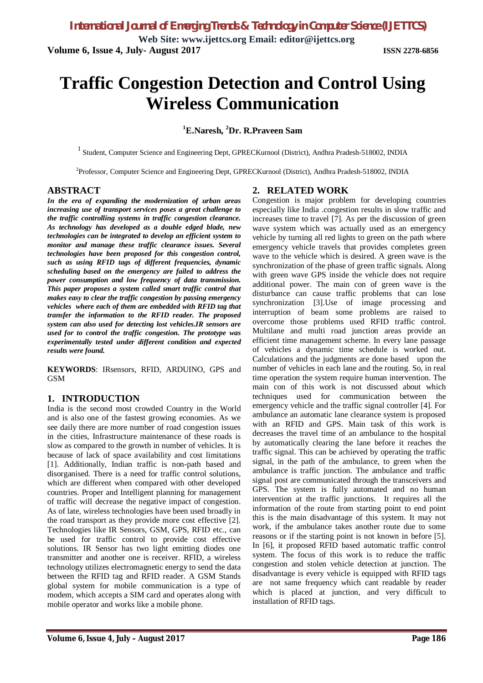**Web Site: www.ijettcs.org Email: editor@ijettcs.org Volume 6, Issue 4, July- August 2017 ISSN 2278-6856**

# **Traffic Congestion Detection and Control Using Wireless Communication**

# **<sup>1</sup>E.Naresh, <sup>2</sup>Dr. R.Praveen Sam**

<sup>1</sup> Student, Computer Science and Engineering Dept, GPRECKurnool (District), Andhra Pradesh-518002, INDIA

2 Professor, Computer Science and Engineering Dept, GPRECKurnool (District), Andhra Pradesh-518002, INDIA

### **ABSTRACT**

*In the era of expanding the modernization of urban areas increasing use of transport services poses a great challenge to the traffic controlling systems in traffic congestion clearance. As technology has developed as a double edged blade, new technologies can be integrated to develop an efficient system to monitor and manage these traffic clearance issues. Several technologies have been proposed for this congestion control, such as using RFID tags of different frequencies, dynamic scheduling based on the emergency are failed to address the power consumption and low frequency of data transmission. This paper proposes a system called smart traffic control that makes easy to clear the traffic congestion by passing emergency vehicles where each of them are embedded with RFID tag that transfer the information to the RFID reader. The proposed system can also used for detecting lost vehicles.IR sensors are used for to control the traffic congestion. The prototype was experimentally tested under different condition and expected results were found.*

**KEYWORDS**: IRsensors, RFID, ARDUINO, GPS and **GSM** 

#### **1. INTRODUCTION**

India is the second most crowded Country in the World and is also one of the fastest growing economies. As we see daily there are more number of road congestion issues in the cities, Infrastructure maintenance of these roads is slow as compared to the growth in number of vehicles. It is because of lack of space availability and cost limitations [1]. Additionally, Indian traffic is non-path based and disorganised. There is a need for traffic control solutions, which are different when compared with other developed countries. Proper and Intelligent planning for management of traffic will decrease the negative impact of congestion. As of late, wireless technologies have been used broadly in the road transport as they provide more cost effective [2]. Technologies like IR Sensors, GSM, GPS, RFID etc., can be used for traffic control to provide cost effective solutions. IR Sensor has two light emitting diodes one transmitter and another one is receiver. RFID, a wireless technology utilizes electromagnetic energy to send the data between the RFID tag and RFID reader. A GSM Stands global system for mobile communication is a type of modem, which accepts a SIM card and operates along with mobile operator and works like a mobile phone.

### **2. RELATED WORK**

Congestion is major problem for developing countries especially like India .congestion results in slow traffic and increases time to travel [7]. As per the discussion of green wave system which was actually used as an emergency vehicle by turning all red lights to green on the path where emergency vehicle travels that provides completes green wave to the vehicle which is desired. A green wave is the synchronization of the phase of green traffic signals. Along with green wave GPS inside the vehicle does not require additional power. The main con of green wave is the disturbance can cause traffic problems that can lose synchronization [3].Use of image processing and interruption of beam some problems are raised to overcome those problems used RFID traffic control. Multilane and multi road junction areas provide an efficient time management scheme. In every lane passage of vehicles a dynamic time schedule is worked out. Calculations and the judgments are done based upon the number of vehicles in each lane and the routing. So, in real time operation the system require human intervention. The main con of this work is not discussed about which techniques used for communication between the emergency vehicle and the traffic signal controller [4]. For ambulance an automatic lane clearance system is proposed with an RFID and GPS. Main task of this work is decreases the travel time of an ambulance to the hospital by automatically clearing the lane before it reaches the traffic signal. This can be achieved by operating the traffic signal, in the path of the ambulance, to green when the ambulance is traffic junction. The ambulance and traffic signal post are communicated through the transceivers and GPS. The system is fully automated and no human intervention at the traffic junctions. It requires all the information of the route from starting point to end point this is the main disadvantage of this system. It may not work, if the ambulance takes another route due to some reasons or if the starting point is not known in before [5]. In [6], it proposed RFID based automatic traffic control system. The focus of this work is to reduce the traffic congestion and stolen vehicle detection at junction. The disadvantage is every vehicle is equipped with RFID tags are not same frequency which cant readable by reader which is placed at junction, and very difficult to installation of RFID tags.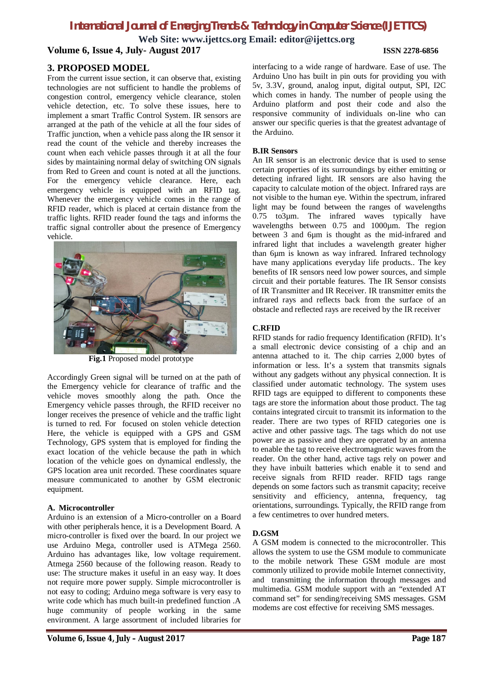# *International Journal of Emerging Trends & Technology in Computer Science (IJETTCS)*

**Web Site: www.ijettcs.org Email: editor@ijettcs.org**

**Volume 6, Issue 4, July- August 2017 ISSN 2278-6856**

### **3. PROPOSED MODEL**

From the current issue section, it can observe that, existing technologies are not sufficient to handle the problems of congestion control, emergency vehicle clearance, stolen vehicle detection, etc. To solve these issues, here to implement a smart Traffic Control System. IR sensors are arranged at the path of the vehicle at all the four sides of Traffic junction, when a vehicle pass along the IR sensor it read the count of the vehicle and thereby increases the count when each vehicle passes through it at all the four sides by maintaining normal delay of switching ON signals from Red to Green and count is noted at all the junctions. For the emergency vehicle clearance. Here, each emergency vehicle is equipped with an RFID tag. Whenever the emergency vehicle comes in the range of RFID reader, which is placed at certain distance from the traffic lights. RFID reader found the tags and informs the traffic signal controller about the presence of Emergency vehicle.



**Fig.1** Proposed model prototype

Accordingly Green signal will be turned on at the path of the Emergency vehicle for clearance of traffic and the vehicle moves smoothly along the path. Once the Emergency vehicle passes through, the RFID receiver no longer receives the presence of vehicle and the traffic light is turned to red. For focused on stolen vehicle detection Here, the vehicle is equipped with a GPS and GSM Technology, GPS system that is employed for finding the exact location of the vehicle because the path in which location of the vehicle goes on dynamical endlessly, the GPS location area unit recorded. These coordinates square measure communicated to another by GSM electronic equipment.

#### **A. Microcontroller**

Arduino is an extension of a Micro-controller on a Board with other peripherals hence, it is a Development Board. A micro-controller is fixed over the board. In our project we use Arduino Mega, controller used is ATMega 2560. Arduino has advantages like, low voltage requirement. Atmega 2560 because of the following reason. Ready to use: The structure makes it useful in an easy way. It does not require more power supply. Simple microcontroller is not easy to coding; Arduino mega software is very easy to write code which has much built-in predefined function .A huge community of people working in the same environment. A large assortment of included libraries for

interfacing to a wide range of hardware. Ease of use. The Arduino Uno has built in pin outs for providing you with 5v, 3.3V, ground, analog input, digital output, SPI, I2C which comes in handy. The number of people using the Arduino platform and post their code and also the responsive community of individuals on-line who can answer our specific queries is that the greatest advantage of the Arduino.

#### **B.IR Sensors**

An IR sensor is an electronic device that is used to sense certain properties of its surroundings by either emitting or detecting infrared light. IR sensors are also having the capacity to calculate motion of the object. Infrared rays are not visible to the human eye. Within the spectrum, infrared light may be found between the ranges of wavelengths 0.75 to3µm. The infrared waves typically have wavelengths between 0.75 and 1000<sub>um</sub>. The region between 3 and 6µm is thought as the mid-infrared and infrared light that includes a wavelength greater higher than 6µm is known as way infrared. Infrared technology have many applications everyday life products.. The key benefits of IR sensors need low power sources, and simple circuit and their portable features. The IR Sensor consists of IR Transmitter and IR Receiver. IR transmitter emits the infrared rays and reflects back from the surface of an obstacle and reflected rays are received by the IR receiver

### **C.RFID**

RFID stands for radio frequency Identification (RFID). It's a small electronic device consisting of a chip and an antenna attached to it. The chip carries 2,000 bytes of information or less. It's a system that transmits signals without any gadgets without any physical connection. It is classified under automatic technology. The system uses RFID tags are equipped to different to components these tags are store the information about those product. The tag contains integrated circuit to transmit its information to the reader. There are two types of RFID categories one is active and other passive tags. The tags which do not use power are as passive and they are operated by an antenna to enable the tag to receive electromagnetic waves from the reader. On the other hand, active tags rely on power and they have inbuilt batteries which enable it to send and receive signals from RFID reader. RFID tags range depends on some factors such as transmit capacity; receive sensitivity and efficiency, antenna, frequency, tag orientations, surroundings. Typically, the RFID range from a few centimetres to over hundred meters.

### **D.GSM**

A GSM modem is connected to the microcontroller. This allows the system to use the GSM module to communicate to the mobile network These GSM module are most commonly utilized to provide mobile Internet connectivity, and transmitting the information through messages and multimedia. GSM module support with an "extended AT command set" for sending/receiving SMS messages. GSM modems are cost effective for receiving SMS messages.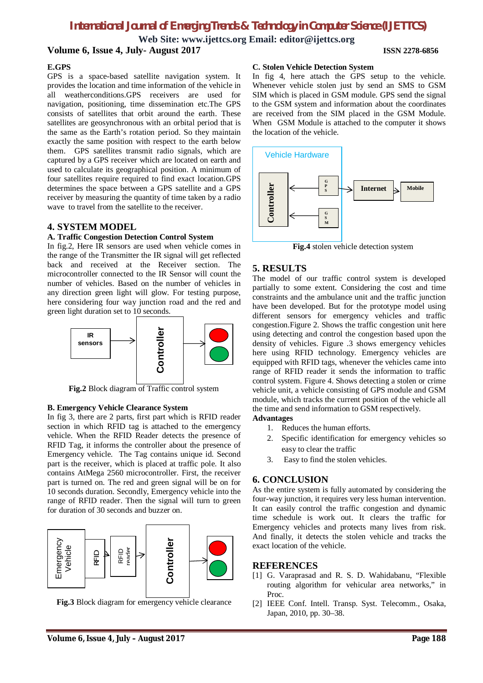# *International Journal of Emerging Trends & Technology in Computer Science (IJETTCS)*

**Web Site: www.ijettcs.org Email: editor@ijettcs.org Volume 6, Issue 4, July- August 2017 ISSN 2278-6856**

#### **E.GPS**

GPS is a space-based satellite navigation system. It provides the location and time information of the vehicle in all weatherconditions.GPS receivers are used for navigation, positioning, time dissemination etc.The GPS consists of satellites that orbit around the earth. These satellites are geosynchronous with an orbital period that is the same as the Earth's rotation period. So they maintain exactly the same position with respect to the earth below them. GPS satellites transmit radio signals, which are captured by a GPS receiver which are located on earth and used to calculate its geographical position. A minimum of four satellites require required to find exact location.GPS determines the space between a GPS satellite and a GPS receiver by measuring the quantity of time taken by a radio wave to travel from the satellite to the receiver.

#### **4. SYSTEM MODEL**

#### **A. Traffic Congestion Detection Control System**

In fig.2, Here IR sensors are used when vehicle comes in the range of the Transmitter the IR signal will get reflected back and received at the Receiver section. The microcontroller connected to the IR Sensor will count the number of vehicles. Based on the number of vehicles in any direction green light will glow. For testing purpose, here considering four way junction road and the red and green light duration set to 10 seconds.



**Fig.2** Block diagram of Traffic control system

#### **B. Emergency Vehicle Clearance System**

In fig 3, there are 2 parts, first part which is RFID reader section in which RFID tag is attached to the emergency vehicle. When the RFID Reader detects the presence of RFID Tag, it informs the controller about the presence of Emergency vehicle. The Tag contains unique id. Second part is the receiver, which is placed at traffic pole. It also contains AtMega 2560 microcontroller. First, the receiver part is turned on. The red and green signal will be on for 10 seconds duration. Secondly, Emergency vehicle into the range of RFID reader. Then the signal will turn to green for duration of 30 seconds and buzzer on.



**Fig.3** Block diagram for emergency vehicle clearance

#### **C. Stolen Vehicle Detection System**

In fig 4, here attach the GPS setup to the vehicle. Whenever vehicle stolen just by send an SMS to GSM SIM which is placed in GSM module. GPS send the signal to the GSM system and information about the coordinates are received from the SIM placed in the GSM Module. When GSM Module is attached to the computer it shows the location of the vehicle.



**Fig.4** stolen vehicle detection system

### **5. RESULTS**

The model of our traffic control system is developed partially to some extent. Considering the cost and time constraints and the ambulance unit and the traffic junction have been developed. But for the prototype model using different sensors for emergency vehicles and traffic congestion.Figure 2. Shows the traffic congestion unit here using detecting and control the congestion based upon the density of vehicles. Figure .3 shows emergency vehicles here using RFID technology. Emergency vehicles are equipped with RFID tags, whenever the vehicles came into range of RFID reader it sends the information to traffic control system. Figure 4. Shows detecting a stolen or crime vehicle unit, a vehicle consisting of GPS module and GSM module, which tracks the current position of the vehicle all the time and send information to GSM respectively.

#### **Advantages**

- 1. Reduces the human efforts.
- 2. Specific identification for emergency vehicles so easy to clear the traffic
- 3. Easy to find the stolen vehicles.

### **6. CONCLUSION**

As the entire system is fully automated by considering the four-way junction, it requires very less human intervention. It can easily control the traffic congestion and dynamic time schedule is work out. It clears the traffic for Emergency vehicles and protects many lives from risk. And finally, it detects the stolen vehicle and tracks the exact location of the vehicle.

#### **REFERENCES**

- [1] G. Varaprasad and R. S. D. Wahidabanu, "Flexible routing algorithm for vehicular area networks," in Proc.
- [2] IEEE Conf. Intell. Transp. Syst. Telecomm., Osaka, Japan, 2010, pp. 30–38.